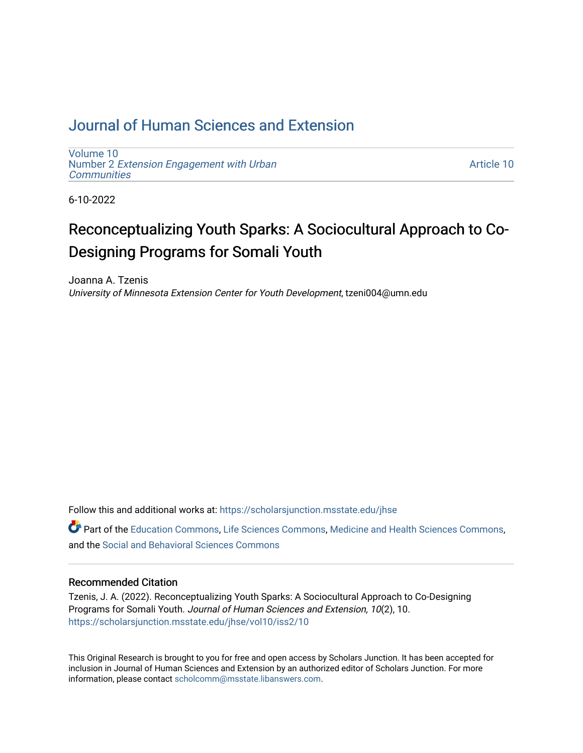# [Journal of Human Sciences and Extension](https://scholarsjunction.msstate.edu/jhse)

[Volume 10](https://scholarsjunction.msstate.edu/jhse/vol10) Number 2 [Extension Engagement with Urban](https://scholarsjunction.msstate.edu/jhse/vol10/iss2) **[Communities](https://scholarsjunction.msstate.edu/jhse/vol10/iss2)** 

[Article 10](https://scholarsjunction.msstate.edu/jhse/vol10/iss2/10) 

6-10-2022

# Reconceptualizing Youth Sparks: A Sociocultural Approach to Co-Designing Programs for Somali Youth

Joanna A. Tzenis University of Minnesota Extension Center for Youth Development, tzeni004@umn.edu

Follow this and additional works at: [https://scholarsjunction.msstate.edu/jhse](https://scholarsjunction.msstate.edu/jhse?utm_source=scholarsjunction.msstate.edu%2Fjhse%2Fvol10%2Fiss2%2F10&utm_medium=PDF&utm_campaign=PDFCoverPages)

Part of the [Education Commons](https://network.bepress.com/hgg/discipline/784?utm_source=scholarsjunction.msstate.edu%2Fjhse%2Fvol10%2Fiss2%2F10&utm_medium=PDF&utm_campaign=PDFCoverPages), [Life Sciences Commons](https://network.bepress.com/hgg/discipline/1016?utm_source=scholarsjunction.msstate.edu%2Fjhse%2Fvol10%2Fiss2%2F10&utm_medium=PDF&utm_campaign=PDFCoverPages), [Medicine and Health Sciences Commons](https://network.bepress.com/hgg/discipline/648?utm_source=scholarsjunction.msstate.edu%2Fjhse%2Fvol10%2Fiss2%2F10&utm_medium=PDF&utm_campaign=PDFCoverPages), and the [Social and Behavioral Sciences Commons](https://network.bepress.com/hgg/discipline/316?utm_source=scholarsjunction.msstate.edu%2Fjhse%2Fvol10%2Fiss2%2F10&utm_medium=PDF&utm_campaign=PDFCoverPages) 

#### Recommended Citation

Tzenis, J. A. (2022). Reconceptualizing Youth Sparks: A Sociocultural Approach to Co-Designing Programs for Somali Youth. Journal of Human Sciences and Extension, 10(2), 10. [https://scholarsjunction.msstate.edu/jhse/vol10/iss2/10](https://scholarsjunction.msstate.edu/jhse/vol10/iss2/10?utm_source=scholarsjunction.msstate.edu%2Fjhse%2Fvol10%2Fiss2%2F10&utm_medium=PDF&utm_campaign=PDFCoverPages) 

This Original Research is brought to you for free and open access by Scholars Junction. It has been accepted for inclusion in Journal of Human Sciences and Extension by an authorized editor of Scholars Junction. For more information, please contact [scholcomm@msstate.libanswers.com](mailto:scholcomm@msstate.libanswers.com).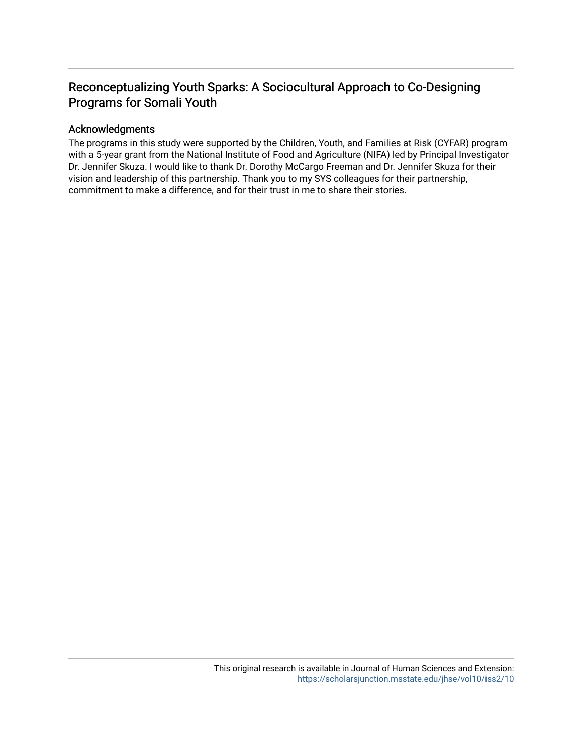# Reconceptualizing Youth Sparks: A Sociocultural Approach to Co-Designing Programs for Somali Youth

#### Acknowledgments

The programs in this study were supported by the Children, Youth, and Families at Risk (CYFAR) program with a 5-year grant from the National Institute of Food and Agriculture (NIFA) led by Principal Investigator Dr. Jennifer Skuza. I would like to thank Dr. Dorothy McCargo Freeman and Dr. Jennifer Skuza for their vision and leadership of this partnership. Thank you to my SYS colleagues for their partnership, commitment to make a difference, and for their trust in me to share their stories.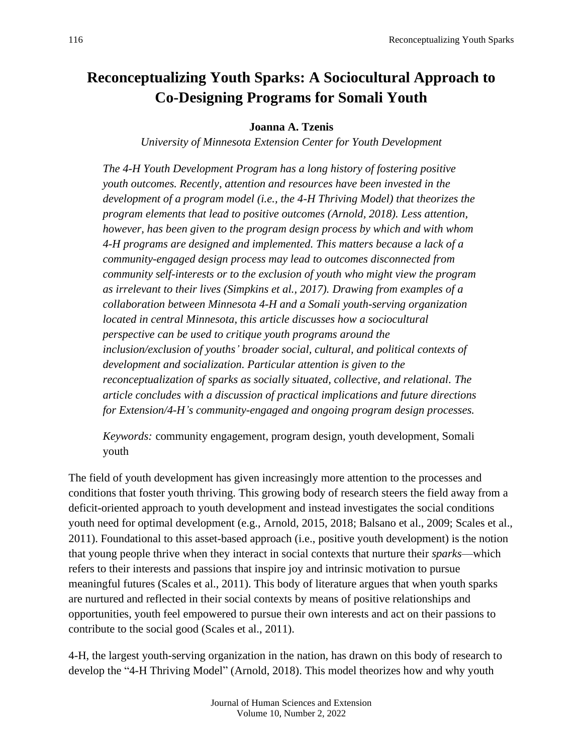# **Reconceptualizing Youth Sparks: A Sociocultural Approach to Co-Designing Programs for Somali Youth**

# **Joanna A. Tzenis**

*University of Minnesota Extension Center for Youth Development*

*The 4-H Youth Development Program has a long history of fostering positive youth outcomes. Recently, attention and resources have been invested in the development of a program model (i.e., the 4-H Thriving Model) that theorizes the program elements that lead to positive outcomes (Arnold, 2018). Less attention, however, has been given to the program design process by which and with whom 4-H programs are designed and implemented. This matters because a lack of a community-engaged design process may lead to outcomes disconnected from community self-interests or to the exclusion of youth who might view the program as irrelevant to their lives (Simpkins et al., 2017). Drawing from examples of a collaboration between Minnesota 4-H and a Somali youth-serving organization located in central Minnesota, this article discusses how a sociocultural perspective can be used to critique youth programs around the inclusion/exclusion of youths' broader social, cultural, and political contexts of development and socialization. Particular attention is given to the reconceptualization of sparks as socially situated, collective, and relational. The article concludes with a discussion of practical implications and future directions for Extension/4-H's community-engaged and ongoing program design processes.*

*Keywords:* community engagement, program design, youth development, Somali youth

The field of youth development has given increasingly more attention to the processes and conditions that foster youth thriving. This growing body of research steers the field away from a deficit-oriented approach to youth development and instead investigates the social conditions youth need for optimal development (e.g., Arnold, 2015, 2018; Balsano et al., 2009; Scales et al., 2011). Foundational to this asset-based approach (i.e., positive youth development) is the notion that young people thrive when they interact in social contexts that nurture their *sparks*—which refers to their interests and passions that inspire joy and intrinsic motivation to pursue meaningful futures (Scales et al., 2011). This body of literature argues that when youth sparks are nurtured and reflected in their social contexts by means of positive relationships and opportunities, youth feel empowered to pursue their own interests and act on their passions to contribute to the social good (Scales et al., 2011).

4-H, the largest youth-serving organization in the nation, has drawn on this body of research to develop the "4-H Thriving Model" (Arnold, 2018). This model theorizes how and why youth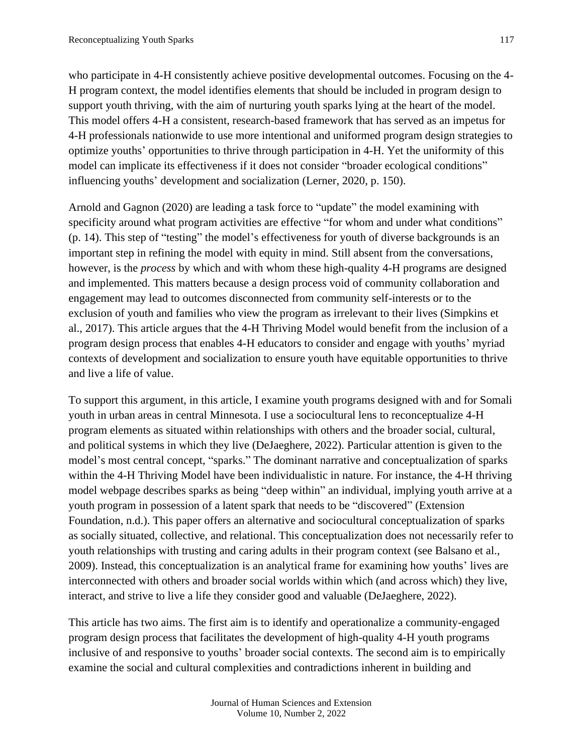who participate in 4-H consistently achieve positive developmental outcomes. Focusing on the 4- H program context, the model identifies elements that should be included in program design to support youth thriving, with the aim of nurturing youth sparks lying at the heart of the model. This model offers 4-H a consistent, research-based framework that has served as an impetus for 4-H professionals nationwide to use more intentional and uniformed program design strategies to optimize youths' opportunities to thrive through participation in 4-H. Yet the uniformity of this model can implicate its effectiveness if it does not consider "broader ecological conditions" influencing youths' development and socialization (Lerner, 2020, p. 150).

Arnold and Gagnon (2020) are leading a task force to "update" the model examining with specificity around what program activities are effective "for whom and under what conditions" (p. 14). This step of "testing" the model's effectiveness for youth of diverse backgrounds is an important step in refining the model with equity in mind. Still absent from the conversations, however, is the *process* by which and with whom these high-quality 4-H programs are designed and implemented. This matters because a design process void of community collaboration and engagement may lead to outcomes disconnected from community self-interests or to the exclusion of youth and families who view the program as irrelevant to their lives (Simpkins et al., 2017). This article argues that the 4-H Thriving Model would benefit from the inclusion of a program design process that enables 4-H educators to consider and engage with youths' myriad contexts of development and socialization to ensure youth have equitable opportunities to thrive and live a life of value.

To support this argument, in this article, I examine youth programs designed with and for Somali youth in urban areas in central Minnesota. I use a sociocultural lens to reconceptualize 4-H program elements as situated within relationships with others and the broader social, cultural, and political systems in which they live (DeJaeghere, 2022). Particular attention is given to the model's most central concept, "sparks." The dominant narrative and conceptualization of sparks within the 4-H Thriving Model have been individualistic in nature. For instance, the 4-H thriving model webpage describes sparks as being "deep within" an individual, implying youth arrive at a youth program in possession of a latent spark that needs to be "discovered" (Extension Foundation, n.d.). This paper offers an alternative and sociocultural conceptualization of sparks as socially situated, collective, and relational. This conceptualization does not necessarily refer to youth relationships with trusting and caring adults in their program context (see Balsano et al., 2009). Instead, this conceptualization is an analytical frame for examining how youths' lives are interconnected with others and broader social worlds within which (and across which) they live, interact, and strive to live a life they consider good and valuable (DeJaeghere, 2022).

This article has two aims. The first aim is to identify and operationalize a community-engaged program design process that facilitates the development of high-quality 4-H youth programs inclusive of and responsive to youths' broader social contexts. The second aim is to empirically examine the social and cultural complexities and contradictions inherent in building and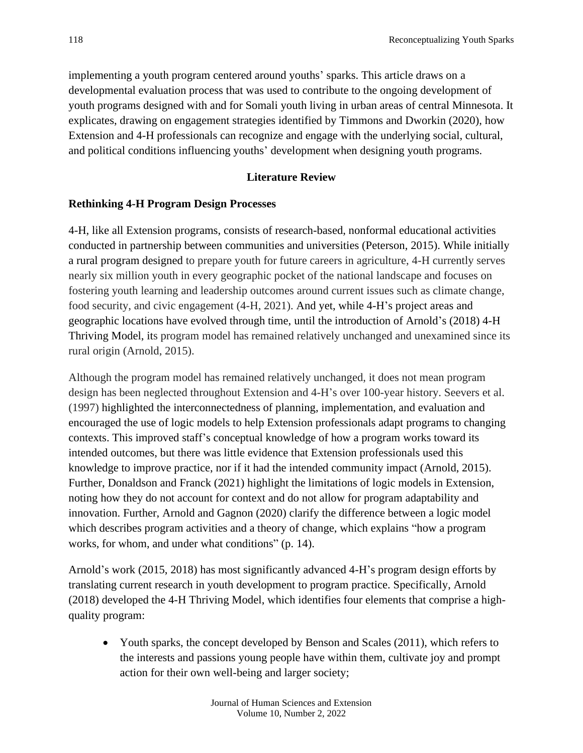implementing a youth program centered around youths' sparks. This article draws on a developmental evaluation process that was used to contribute to the ongoing development of youth programs designed with and for Somali youth living in urban areas of central Minnesota. It explicates, drawing on engagement strategies identified by Timmons and Dworkin (2020), how Extension and 4-H professionals can recognize and engage with the underlying social, cultural, and political conditions influencing youths' development when designing youth programs.

# **Literature Review**

#### **Rethinking 4-H Program Design Processes**

4-H, like all Extension programs, consists of research-based, nonformal educational activities conducted in partnership between communities and universities (Peterson, 2015). While initially a rural program designed to prepare youth for future careers in agriculture, 4-H currently serves nearly six million youth in every geographic pocket of the national landscape and focuses on fostering youth learning and leadership outcomes around current issues such as climate change, food security, and civic engagement (4-H, 2021). And yet, while 4-H's project areas and geographic locations have evolved through time, until the introduction of Arnold's (2018) 4-H Thriving Model, its program model has remained relatively unchanged and unexamined since its rural origin (Arnold, 2015).

Although the program model has remained relatively unchanged, it does not mean program design has been neglected throughout Extension and 4-H's over 100-year history. Seevers et al. (1997) highlighted the interconnectedness of planning, implementation, and evaluation and encouraged the use of logic models to help Extension professionals adapt programs to changing contexts. This improved staff's conceptual knowledge of how a program works toward its intended outcomes, but there was little evidence that Extension professionals used this knowledge to improve practice, nor if it had the intended community impact (Arnold, 2015). Further, Donaldson and Franck (2021) highlight the limitations of logic models in Extension, noting how they do not account for context and do not allow for program adaptability and innovation. Further, Arnold and Gagnon (2020) clarify the difference between a logic model which describes program activities and a theory of change, which explains "how a program works, for whom, and under what conditions" (p. 14).

Arnold's work (2015, 2018) has most significantly advanced 4-H's program design efforts by translating current research in youth development to program practice. Specifically, Arnold (2018) developed the 4-H Thriving Model, which identifies four elements that comprise a highquality program:

• Youth sparks, the concept developed by Benson and Scales (2011), which refers to the interests and passions young people have within them, cultivate joy and prompt action for their own well-being and larger society;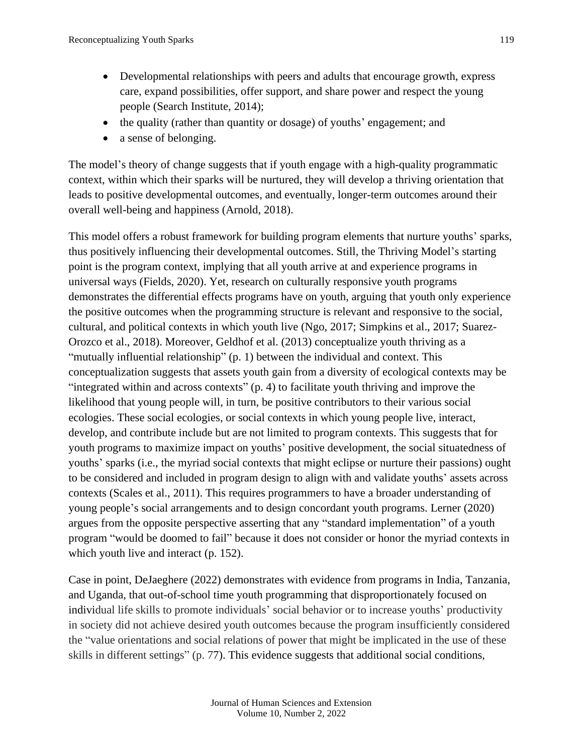- Developmental relationships with peers and adults that encourage growth, express care, expand possibilities, offer support, and share power and respect the young people (Search Institute, 2014);
- the quality (rather than quantity or dosage) of youths' engagement; and
- a sense of belonging.

The model's theory of change suggests that if youth engage with a high-quality programmatic context, within which their sparks will be nurtured, they will develop a thriving orientation that leads to positive developmental outcomes, and eventually, longer-term outcomes around their overall well-being and happiness (Arnold, 2018).

This model offers a robust framework for building program elements that nurture youths' sparks, thus positively influencing their developmental outcomes. Still, the Thriving Model's starting point is the program context, implying that all youth arrive at and experience programs in universal ways (Fields, 2020). Yet, research on culturally responsive youth programs demonstrates the differential effects programs have on youth, arguing that youth only experience the positive outcomes when the programming structure is relevant and responsive to the social, cultural, and political contexts in which youth live (Ngo, 2017; Simpkins et al., 2017; Suarez-Orozco et al., 2018). Moreover, Geldhof et al. (2013) conceptualize youth thriving as a "mutually influential relationship" (p. 1) between the individual and context. This conceptualization suggests that assets youth gain from a diversity of ecological contexts may be "integrated within and across contexts" (p. 4) to facilitate youth thriving and improve the likelihood that young people will, in turn, be positive contributors to their various social ecologies. These social ecologies, or social contexts in which young people live, interact, develop, and contribute include but are not limited to program contexts. This suggests that for youth programs to maximize impact on youths' positive development, the social situatedness of youths' sparks (i.e., the myriad social contexts that might eclipse or nurture their passions) ought to be considered and included in program design to align with and validate youths' assets across contexts (Scales et al., 2011). This requires programmers to have a broader understanding of young people's social arrangements and to design concordant youth programs. Lerner (2020) argues from the opposite perspective asserting that any "standard implementation" of a youth program "would be doomed to fail" because it does not consider or honor the myriad contexts in which youth live and interact (p. 152).

Case in point, DeJaeghere (2022) demonstrates with evidence from programs in India, Tanzania, and Uganda, that out-of-school time youth programming that disproportionately focused on individual life skills to promote individuals' social behavior or to increase youths' productivity in society did not achieve desired youth outcomes because the program insufficiently considered the "value orientations and social relations of power that might be implicated in the use of these skills in different settings" (p. 77). This evidence suggests that additional social conditions,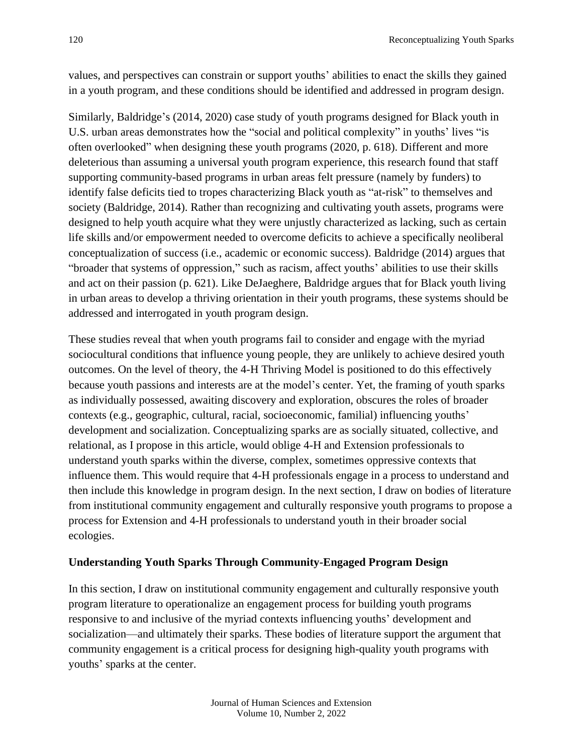values, and perspectives can constrain or support youths' abilities to enact the skills they gained in a youth program, and these conditions should be identified and addressed in program design.

Similarly, Baldridge's (2014, 2020) case study of youth programs designed for Black youth in U.S. urban areas demonstrates how the "social and political complexity" in youths' lives "is often overlooked" when designing these youth programs (2020, p. 618). Different and more deleterious than assuming a universal youth program experience, this research found that staff supporting community-based programs in urban areas felt pressure (namely by funders) to identify false deficits tied to tropes characterizing Black youth as "at-risk" to themselves and society (Baldridge, 2014). Rather than recognizing and cultivating youth assets, programs were designed to help youth acquire what they were unjustly characterized as lacking, such as certain life skills and/or empowerment needed to overcome deficits to achieve a specifically neoliberal conceptualization of success (i.e., academic or economic success). Baldridge (2014) argues that "broader that systems of oppression," such as racism, affect youths' abilities to use their skills and act on their passion (p. 621). Like DeJaeghere, Baldridge argues that for Black youth living in urban areas to develop a thriving orientation in their youth programs, these systems should be addressed and interrogated in youth program design.

These studies reveal that when youth programs fail to consider and engage with the myriad sociocultural conditions that influence young people, they are unlikely to achieve desired youth outcomes. On the level of theory, the 4-H Thriving Model is positioned to do this effectively because youth passions and interests are at the model's center. Yet, the framing of youth sparks as individually possessed, awaiting discovery and exploration, obscures the roles of broader contexts (e.g., geographic, cultural, racial, socioeconomic, familial) influencing youths' development and socialization. Conceptualizing sparks are as socially situated, collective, and relational, as I propose in this article, would oblige 4-H and Extension professionals to understand youth sparks within the diverse, complex, sometimes oppressive contexts that influence them. This would require that 4-H professionals engage in a process to understand and then include this knowledge in program design. In the next section, I draw on bodies of literature from institutional community engagement and culturally responsive youth programs to propose a process for Extension and 4-H professionals to understand youth in their broader social ecologies.

# **Understanding Youth Sparks Through Community-Engaged Program Design**

In this section, I draw on institutional community engagement and culturally responsive youth program literature to operationalize an engagement process for building youth programs responsive to and inclusive of the myriad contexts influencing youths' development and socialization—and ultimately their sparks. These bodies of literature support the argument that community engagement is a critical process for designing high-quality youth programs with youths' sparks at the center.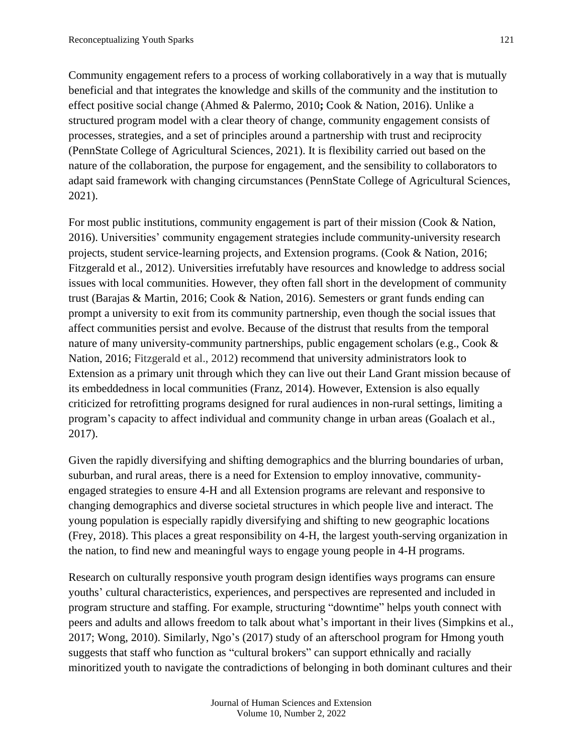Community engagement refers to a process of working collaboratively in a way that is mutually beneficial and that integrates the knowledge and skills of the community and the institution to effect positive social change (Ahmed & Palermo, 2010**;** Cook & Nation, 2016). Unlike a structured program model with a clear theory of change, community engagement consists of processes, strategies, and a set of principles around a partnership with trust and reciprocity (PennState College of Agricultural Sciences, 2021). It is flexibility carried out based on the nature of the collaboration, the purpose for engagement, and the sensibility to collaborators to adapt said framework with changing circumstances (PennState College of Agricultural Sciences, 2021).

For most public institutions, community engagement is part of their mission (Cook & Nation, 2016). Universities' community engagement strategies include community-university research projects, student service-learning projects, and Extension programs. (Cook & Nation, 2016; Fitzgerald et al., 2012). Universities irrefutably have resources and knowledge to address social issues with local communities. However, they often fall short in the development of community trust (Barajas & Martin, 2016; Cook & Nation, 2016). Semesters or grant funds ending can prompt a university to exit from its community partnership, even though the social issues that affect communities persist and evolve. Because of the distrust that results from the temporal nature of many university-community partnerships, public engagement scholars (e.g., Cook & Nation, 2016; Fitzgerald et al., 2012) recommend that university administrators look to Extension as a primary unit through which they can live out their Land Grant mission because of its embeddedness in local communities (Franz, 2014). However, Extension is also equally criticized for retrofitting programs designed for rural audiences in non-rural settings, limiting a program's capacity to affect individual and community change in urban areas (Goalach et al., 2017).

Given the rapidly diversifying and shifting demographics and the blurring boundaries of urban, suburban, and rural areas, there is a need for Extension to employ innovative, communityengaged strategies to ensure 4-H and all Extension programs are relevant and responsive to changing demographics and diverse societal structures in which people live and interact. The young population is especially rapidly diversifying and shifting to new geographic locations (Frey, 2018). This places a great responsibility on 4-H, the largest youth-serving organization in the nation, to find new and meaningful ways to engage young people in 4-H programs.

Research on culturally responsive youth program design identifies ways programs can ensure youths' cultural characteristics, experiences, and perspectives are represented and included in program structure and staffing. For example, structuring "downtime" helps youth connect with peers and adults and allows freedom to talk about what's important in their lives (Simpkins et al., 2017; Wong, 2010). Similarly, Ngo's (2017) study of an afterschool program for Hmong youth suggests that staff who function as "cultural brokers" can support ethnically and racially minoritized youth to navigate the contradictions of belonging in both dominant cultures and their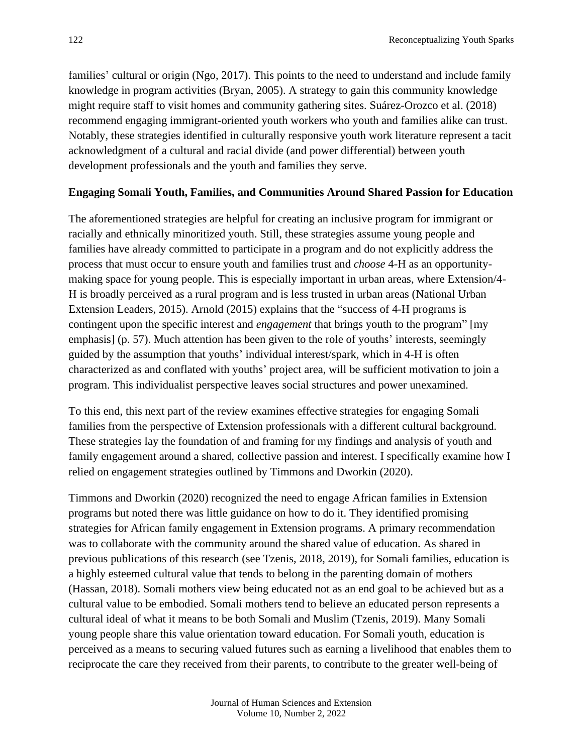families' cultural or origin (Ngo, 2017). This points to the need to understand and include family knowledge in program activities (Bryan, 2005). A strategy to gain this community knowledge might require staff to visit homes and community gathering sites. Suárez-Orozco et al. (2018) recommend engaging immigrant-oriented youth workers who youth and families alike can trust. Notably, these strategies identified in culturally responsive youth work literature represent a tacit acknowledgment of a cultural and racial divide (and power differential) between youth development professionals and the youth and families they serve.

#### **Engaging Somali Youth, Families, and Communities Around Shared Passion for Education**

The aforementioned strategies are helpful for creating an inclusive program for immigrant or racially and ethnically minoritized youth. Still, these strategies assume young people and families have already committed to participate in a program and do not explicitly address the process that must occur to ensure youth and families trust and *choose* 4-H as an opportunitymaking space for young people. This is especially important in urban areas, where Extension/4- H is broadly perceived as a rural program and is less trusted in urban areas (National Urban Extension Leaders, 2015). Arnold (2015) explains that the "success of 4-H programs is contingent upon the specific interest and *engagement* that brings youth to the program" [my emphasis] (p. 57). Much attention has been given to the role of youths' interests, seemingly guided by the assumption that youths' individual interest/spark, which in 4-H is often characterized as and conflated with youths' project area, will be sufficient motivation to join a program. This individualist perspective leaves social structures and power unexamined.

To this end, this next part of the review examines effective strategies for engaging Somali families from the perspective of Extension professionals with a different cultural background. These strategies lay the foundation of and framing for my findings and analysis of youth and family engagement around a shared, collective passion and interest. I specifically examine how I relied on engagement strategies outlined by Timmons and Dworkin (2020).

Timmons and Dworkin (2020) recognized the need to engage African families in Extension programs but noted there was little guidance on how to do it. They identified promising strategies for African family engagement in Extension programs. A primary recommendation was to collaborate with the community around the shared value of education. As shared in previous publications of this research (see Tzenis, 2018, 2019), for Somali families, education is a highly esteemed cultural value that tends to belong in the parenting domain of mothers (Hassan, 2018). Somali mothers view being educated not as an end goal to be achieved but as a cultural value to be embodied. Somali mothers tend to believe an educated person represents a cultural ideal of what it means to be both Somali and Muslim (Tzenis, 2019). Many Somali young people share this value orientation toward education. For Somali youth, education is perceived as a means to securing valued futures such as earning a livelihood that enables them to reciprocate the care they received from their parents, to contribute to the greater well-being of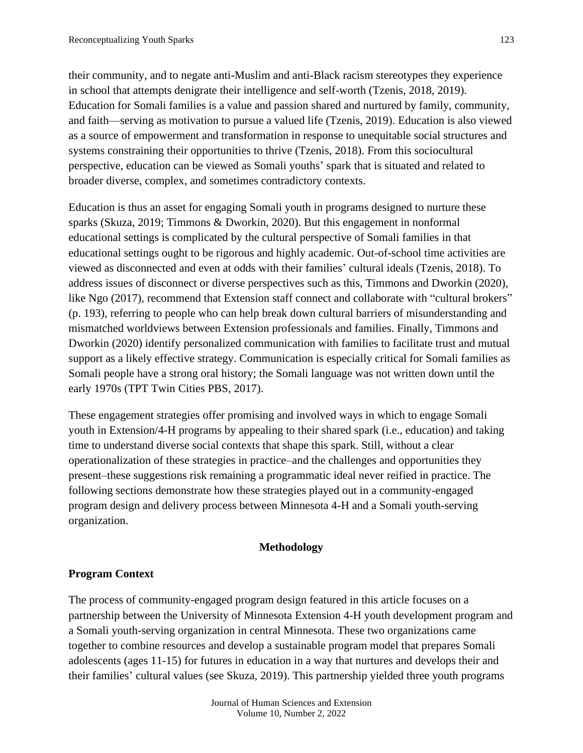their community, and to negate anti-Muslim and anti-Black racism stereotypes they experience in school that attempts denigrate their intelligence and self-worth (Tzenis, 2018, 2019). Education for Somali families is a value and passion shared and nurtured by family, community, and faith—serving as motivation to pursue a valued life (Tzenis, 2019). Education is also viewed as a source of empowerment and transformation in response to unequitable social structures and systems constraining their opportunities to thrive (Tzenis, 2018). From this sociocultural perspective, education can be viewed as Somali youths' spark that is situated and related to broader diverse, complex, and sometimes contradictory contexts.

Education is thus an asset for engaging Somali youth in programs designed to nurture these sparks (Skuza, 2019; Timmons & Dworkin, 2020). But this engagement in nonformal educational settings is complicated by the cultural perspective of Somali families in that educational settings ought to be rigorous and highly academic. Out-of-school time activities are viewed as disconnected and even at odds with their families' cultural ideals (Tzenis, 2018). To address issues of disconnect or diverse perspectives such as this, Timmons and Dworkin (2020), like Ngo (2017), recommend that Extension staff connect and collaborate with "cultural brokers" (p. 193), referring to people who can help break down cultural barriers of misunderstanding and mismatched worldviews between Extension professionals and families. Finally, Timmons and Dworkin (2020) identify personalized communication with families to facilitate trust and mutual support as a likely effective strategy. Communication is especially critical for Somali families as Somali people have a strong oral history; the Somali language was not written down until the early 1970s (TPT Twin Cities PBS, 2017).

These engagement strategies offer promising and involved ways in which to engage Somali youth in Extension/4-H programs by appealing to their shared spark (i.e., education) and taking time to understand diverse social contexts that shape this spark. Still, without a clear operationalization of these strategies in practice–and the challenges and opportunities they present–these suggestions risk remaining a programmatic ideal never reified in practice. The following sections demonstrate how these strategies played out in a community-engaged program design and delivery process between Minnesota 4-H and a Somali youth-serving organization.

#### **Methodology**

#### **Program Context**

The process of community-engaged program design featured in this article focuses on a partnership between the University of Minnesota Extension 4-H youth development program and a Somali youth-serving organization in central Minnesota. These two organizations came together to combine resources and develop a sustainable program model that prepares Somali adolescents (ages 11-15) for futures in education in a way that nurtures and develops their and their families' cultural values (see Skuza, 2019). This partnership yielded three youth programs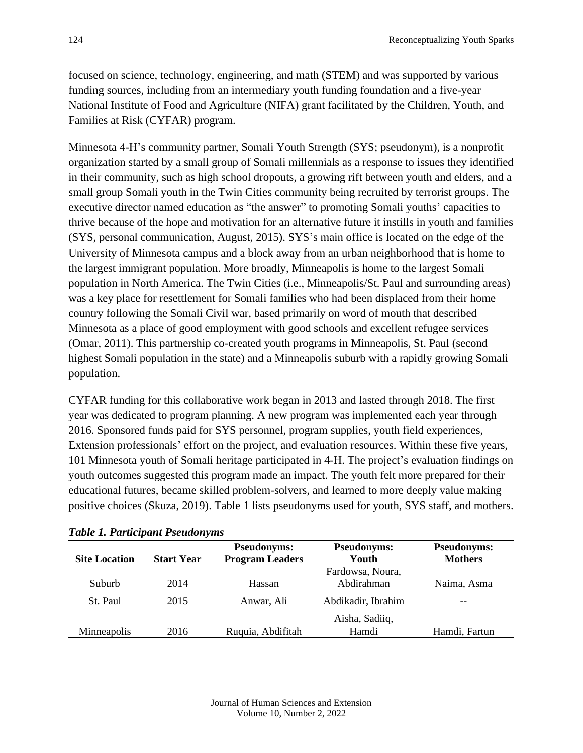focused on science, technology, engineering, and math (STEM) and was supported by various funding sources, including from an intermediary youth funding foundation and a five-year National Institute of Food and Agriculture (NIFA) grant facilitated by the Children, Youth, and Families at Risk (CYFAR) program.

Minnesota 4-H's community partner, Somali Youth Strength (SYS; pseudonym), is a nonprofit organization started by a small group of Somali millennials as a response to issues they identified in their community, such as high school dropouts, a growing rift between youth and elders, and a small group Somali youth in the Twin Cities community being recruited by terrorist groups. The executive director named education as "the answer" to promoting Somali youths' capacities to thrive because of the hope and motivation for an alternative future it instills in youth and families (SYS, personal communication, August, 2015). SYS's main office is located on the edge of the University of Minnesota campus and a block away from an urban neighborhood that is home to the largest immigrant population. More broadly, Minneapolis is home to the largest Somali population in North America. The Twin Cities (i.e., Minneapolis/St. Paul and surrounding areas) was a key place for resettlement for Somali families who had been displaced from their home country following the Somali Civil war, based primarily on word of mouth that described Minnesota as a place of good employment with good schools and excellent refugee services (Omar, 2011). This partnership co-created youth programs in Minneapolis, St. Paul (second highest Somali population in the state) and a Minneapolis suburb with a rapidly growing Somali population.

CYFAR funding for this collaborative work began in 2013 and lasted through 2018. The first year was dedicated to program planning. A new program was implemented each year through 2016. Sponsored funds paid for SYS personnel, program supplies, youth field experiences, Extension professionals' effort on the project, and evaluation resources. Within these five years, 101 Minnesota youth of Somali heritage participated in 4-H. The project's evaluation findings on youth outcomes suggested this program made an impact. The youth felt more prepared for their educational futures, became skilled problem-solvers, and learned to more deeply value making positive choices (Skuza, 2019). Table 1 lists pseudonyms used for youth, SYS staff, and mothers.

|                      |                   | <b>Pseudonyms:</b>     | <b>Pseudonyms:</b> | <b>Pseudonyms:</b> |
|----------------------|-------------------|------------------------|--------------------|--------------------|
| <b>Site Location</b> | <b>Start Year</b> | <b>Program Leaders</b> | Youth              | <b>Mothers</b>     |
|                      |                   |                        | Fardowsa, Noura,   |                    |
| Suburb               | 2014              | Hassan                 | Abdirahman         | Naima, Asma        |
| St. Paul             | 2015              | Anwar, Ali             | Abdikadir, Ibrahim | $- -$              |
|                      |                   |                        | Aisha, Sadiiq,     |                    |
| Minneapolis          | 2016              | Ruquia, Abdifitah      | Hamdi              | Hamdi, Fartun      |

|  |  |  | <b>Table 1. Participant Pseudonyms</b> |
|--|--|--|----------------------------------------|
|--|--|--|----------------------------------------|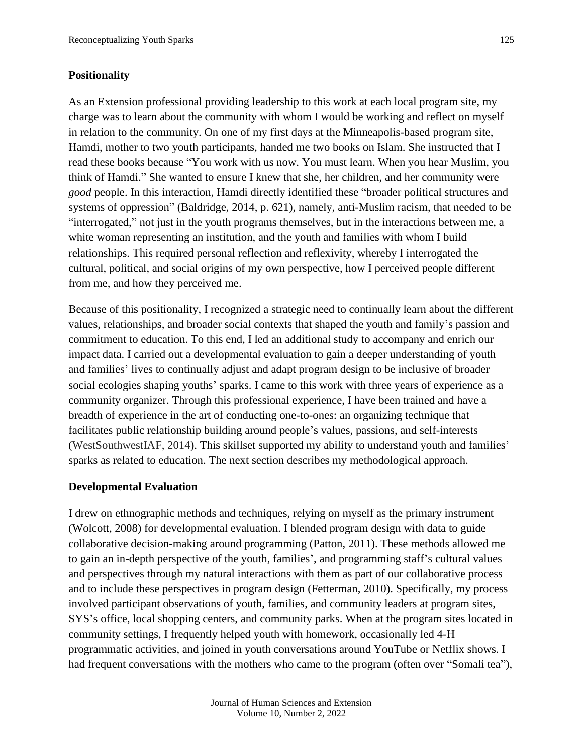#### **Positionality**

As an Extension professional providing leadership to this work at each local program site, my charge was to learn about the community with whom I would be working and reflect on myself in relation to the community. On one of my first days at the Minneapolis-based program site, Hamdi, mother to two youth participants, handed me two books on Islam. She instructed that I read these books because "You work with us now. You must learn. When you hear Muslim, you think of Hamdi." She wanted to ensure I knew that she, her children, and her community were *good* people. In this interaction, Hamdi directly identified these "broader political structures and systems of oppression" (Baldridge, 2014, p. 621), namely, anti-Muslim racism, that needed to be "interrogated," not just in the youth programs themselves, but in the interactions between me, a white woman representing an institution, and the youth and families with whom I build relationships. This required personal reflection and reflexivity, whereby I interrogated the cultural, political, and social origins of my own perspective, how I perceived people different from me, and how they perceived me.

Because of this positionality, I recognized a strategic need to continually learn about the different values, relationships, and broader social contexts that shaped the youth and family's passion and commitment to education. To this end, I led an additional study to accompany and enrich our impact data. I carried out a developmental evaluation to gain a deeper understanding of youth and families' lives to continually adjust and adapt program design to be inclusive of broader social ecologies shaping youths' sparks. I came to this work with three years of experience as a community organizer. Through this professional experience, I have been trained and have a breadth of experience in the art of conducting one-to-ones: an organizing technique that facilitates public relationship building around people's values, passions, and self-interests (WestSouthwestIAF, 2014). This skillset supported my ability to understand youth and families' sparks as related to education. The next section describes my methodological approach.

#### **Developmental Evaluation**

I drew on ethnographic methods and techniques, relying on myself as the primary instrument (Wolcott, 2008) for developmental evaluation. I blended program design with data to guide collaborative decision-making around programming (Patton, 2011). These methods allowed me to gain an in-depth perspective of the youth, families', and programming staff's cultural values and perspectives through my natural interactions with them as part of our collaborative process and to include these perspectives in program design (Fetterman, 2010). Specifically, my process involved participant observations of youth, families, and community leaders at program sites, SYS's office, local shopping centers, and community parks. When at the program sites located in community settings, I frequently helped youth with homework, occasionally led 4-H programmatic activities, and joined in youth conversations around YouTube or Netflix shows. I had frequent conversations with the mothers who came to the program (often over "Somali tea"),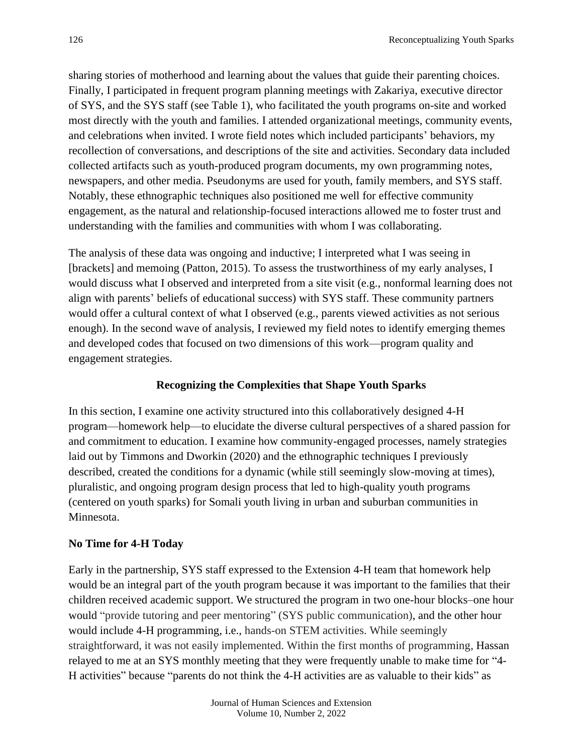sharing stories of motherhood and learning about the values that guide their parenting choices. Finally, I participated in frequent program planning meetings with Zakariya, executive director of SYS, and the SYS staff (see Table 1), who facilitated the youth programs on-site and worked most directly with the youth and families. I attended organizational meetings, community events, and celebrations when invited. I wrote field notes which included participants' behaviors, my recollection of conversations, and descriptions of the site and activities. Secondary data included collected artifacts such as youth-produced program documents, my own programming notes, newspapers, and other media. Pseudonyms are used for youth, family members, and SYS staff. Notably, these ethnographic techniques also positioned me well for effective community engagement, as the natural and relationship-focused interactions allowed me to foster trust and understanding with the families and communities with whom I was collaborating.

The analysis of these data was ongoing and inductive; I interpreted what I was seeing in [brackets] and memoing (Patton, 2015). To assess the trustworthiness of my early analyses, I would discuss what I observed and interpreted from a site visit (e.g., nonformal learning does not align with parents' beliefs of educational success) with SYS staff. These community partners would offer a cultural context of what I observed (e.g., parents viewed activities as not serious enough). In the second wave of analysis, I reviewed my field notes to identify emerging themes and developed codes that focused on two dimensions of this work—program quality and engagement strategies.

# **Recognizing the Complexities that Shape Youth Sparks**

In this section, I examine one activity structured into this collaboratively designed 4-H program—homework help—to elucidate the diverse cultural perspectives of a shared passion for and commitment to education. I examine how community-engaged processes, namely strategies laid out by Timmons and Dworkin (2020) and the ethnographic techniques I previously described, created the conditions for a dynamic (while still seemingly slow-moving at times), pluralistic, and ongoing program design process that led to high-quality youth programs (centered on youth sparks) for Somali youth living in urban and suburban communities in Minnesota.

# **No Time for 4-H Today**

Early in the partnership, SYS staff expressed to the Extension 4-H team that homework help would be an integral part of the youth program because it was important to the families that their children received academic support. We structured the program in two one-hour blocks–one hour would "provide tutoring and peer mentoring" (SYS public communication), and the other hour would include 4-H programming, i.e., hands-on STEM activities. While seemingly straightforward, it was not easily implemented. Within the first months of programming, Hassan relayed to me at an SYS monthly meeting that they were frequently unable to make time for "4- H activities" because "parents do not think the 4-H activities are as valuable to their kids" as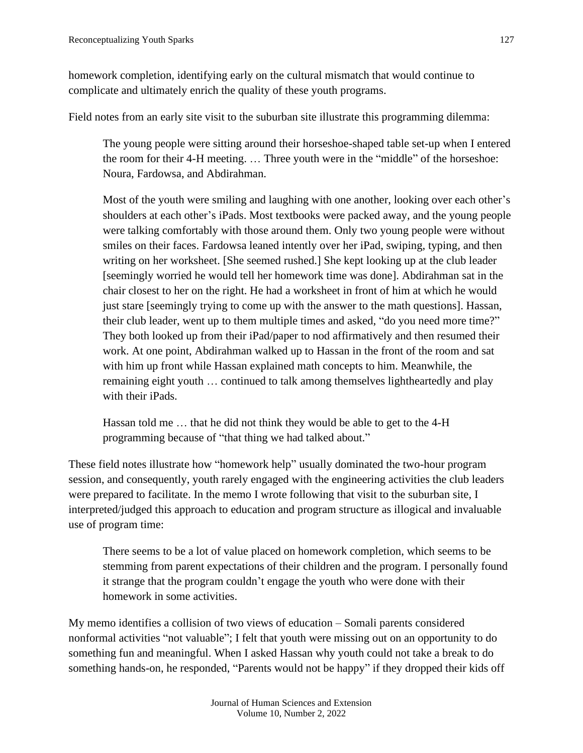homework completion, identifying early on the cultural mismatch that would continue to complicate and ultimately enrich the quality of these youth programs.

Field notes from an early site visit to the suburban site illustrate this programming dilemma:

The young people were sitting around their horseshoe-shaped table set-up when I entered the room for their 4-H meeting. … Three youth were in the "middle" of the horseshoe: Noura, Fardowsa, and Abdirahman.

Most of the youth were smiling and laughing with one another, looking over each other's shoulders at each other's iPads. Most textbooks were packed away, and the young people were talking comfortably with those around them. Only two young people were without smiles on their faces. Fardowsa leaned intently over her iPad, swiping, typing, and then writing on her worksheet. [She seemed rushed.] She kept looking up at the club leader [seemingly worried he would tell her homework time was done]. Abdirahman sat in the chair closest to her on the right. He had a worksheet in front of him at which he would just stare [seemingly trying to come up with the answer to the math questions]. Hassan, their club leader, went up to them multiple times and asked, "do you need more time?" They both looked up from their iPad/paper to nod affirmatively and then resumed their work. At one point, Abdirahman walked up to Hassan in the front of the room and sat with him up front while Hassan explained math concepts to him. Meanwhile, the remaining eight youth … continued to talk among themselves lightheartedly and play with their iPads.

Hassan told me … that he did not think they would be able to get to the 4-H programming because of "that thing we had talked about."

These field notes illustrate how "homework help" usually dominated the two-hour program session, and consequently, youth rarely engaged with the engineering activities the club leaders were prepared to facilitate. In the memo I wrote following that visit to the suburban site, I interpreted/judged this approach to education and program structure as illogical and invaluable use of program time:

There seems to be a lot of value placed on homework completion, which seems to be stemming from parent expectations of their children and the program. I personally found it strange that the program couldn't engage the youth who were done with their homework in some activities.

My memo identifies a collision of two views of education – Somali parents considered nonformal activities "not valuable"; I felt that youth were missing out on an opportunity to do something fun and meaningful. When I asked Hassan why youth could not take a break to do something hands-on, he responded, "Parents would not be happy" if they dropped their kids off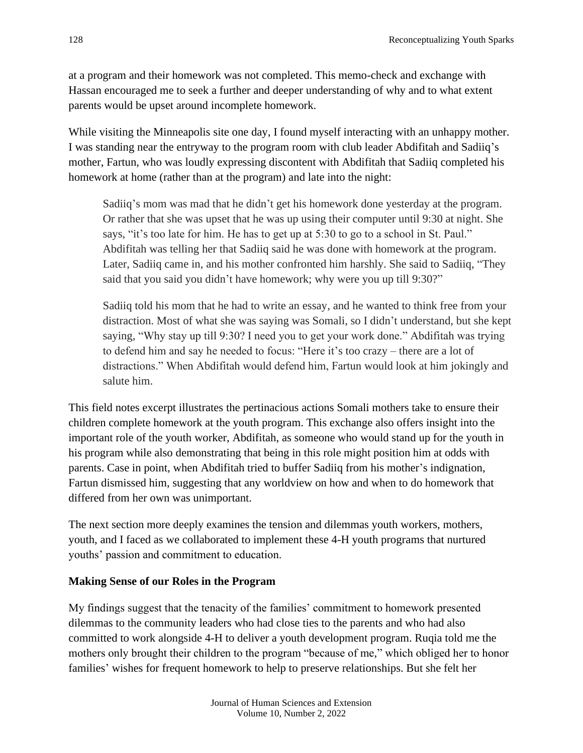at a program and their homework was not completed. This memo-check and exchange with Hassan encouraged me to seek a further and deeper understanding of why and to what extent parents would be upset around incomplete homework.

While visiting the Minneapolis site one day, I found myself interacting with an unhappy mother. I was standing near the entryway to the program room with club leader Abdifitah and Sadiiq's mother, Fartun, who was loudly expressing discontent with Abdifitah that Sadiiq completed his homework at home (rather than at the program) and late into the night:

Sadiiq's mom was mad that he didn't get his homework done yesterday at the program. Or rather that she was upset that he was up using their computer until 9:30 at night. She says, "it's too late for him. He has to get up at 5:30 to go to a school in St. Paul." Abdifitah was telling her that Sadiiq said he was done with homework at the program. Later, Sadiiq came in, and his mother confronted him harshly. She said to Sadiiq, "They said that you said you didn't have homework; why were you up till 9:30?"

Sadiiq told his mom that he had to write an essay, and he wanted to think free from your distraction. Most of what she was saying was Somali, so I didn't understand, but she kept saying, "Why stay up till 9:30? I need you to get your work done." Abdifitah was trying to defend him and say he needed to focus: "Here it's too crazy – there are a lot of distractions." When Abdifitah would defend him, Fartun would look at him jokingly and salute him.

This field notes excerpt illustrates the pertinacious actions Somali mothers take to ensure their children complete homework at the youth program. This exchange also offers insight into the important role of the youth worker, Abdifitah, as someone who would stand up for the youth in his program while also demonstrating that being in this role might position him at odds with parents. Case in point, when Abdifitah tried to buffer Sadiiq from his mother's indignation, Fartun dismissed him, suggesting that any worldview on how and when to do homework that differed from her own was unimportant.

The next section more deeply examines the tension and dilemmas youth workers, mothers, youth, and I faced as we collaborated to implement these 4-H youth programs that nurtured youths' passion and commitment to education.

# **Making Sense of our Roles in the Program**

My findings suggest that the tenacity of the families' commitment to homework presented dilemmas to the community leaders who had close ties to the parents and who had also committed to work alongside 4-H to deliver a youth development program. Ruqia told me the mothers only brought their children to the program "because of me," which obliged her to honor families' wishes for frequent homework to help to preserve relationships. But she felt her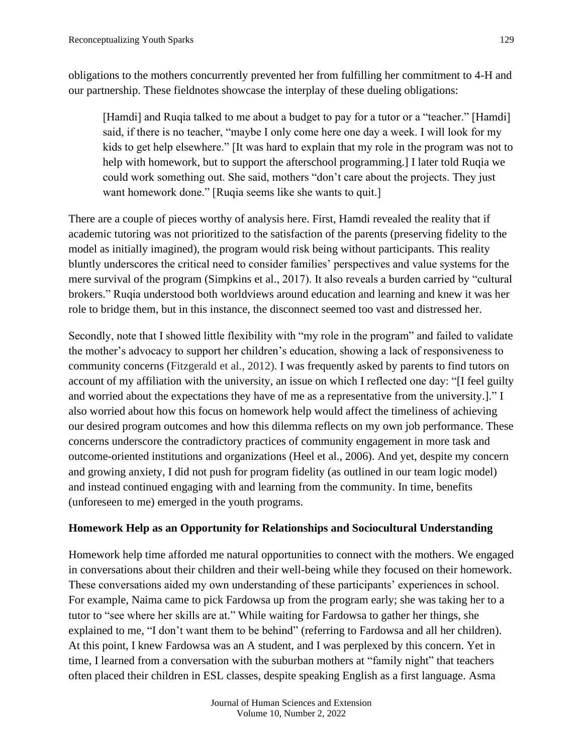obligations to the mothers concurrently prevented her from fulfilling her commitment to 4-H and our partnership. These fieldnotes showcase the interplay of these dueling obligations:

[Hamdi] and Ruqia talked to me about a budget to pay for a tutor or a "teacher." [Hamdi] said, if there is no teacher, "maybe I only come here one day a week. I will look for my kids to get help elsewhere." [It was hard to explain that my role in the program was not to help with homework, but to support the afterschool programming.] I later told Ruqia we could work something out. She said, mothers "don't care about the projects. They just want homework done." [Ruqia seems like she wants to quit.]

There are a couple of pieces worthy of analysis here. First, Hamdi revealed the reality that if academic tutoring was not prioritized to the satisfaction of the parents (preserving fidelity to the model as initially imagined), the program would risk being without participants. This reality bluntly underscores the critical need to consider families' perspectives and value systems for the mere survival of the program (Simpkins et al., 2017). It also reveals a burden carried by "cultural brokers." Ruqia understood both worldviews around education and learning and knew it was her role to bridge them, but in this instance, the disconnect seemed too vast and distressed her.

Secondly, note that I showed little flexibility with "my role in the program" and failed to validate the mother's advocacy to support her children's education, showing a lack of responsiveness to community concerns (Fitzgerald et al., 2012). I was frequently asked by parents to find tutors on account of my affiliation with the university, an issue on which I reflected one day: "[I feel guilty and worried about the expectations they have of me as a representative from the university.]." I also worried about how this focus on homework help would affect the timeliness of achieving our desired program outcomes and how this dilemma reflects on my own job performance. These concerns underscore the contradictory practices of community engagement in more task and outcome-oriented institutions and organizations (Heel et al., 2006). And yet, despite my concern and growing anxiety, I did not push for program fidelity (as outlined in our team logic model) and instead continued engaging with and learning from the community. In time, benefits (unforeseen to me) emerged in the youth programs.

# **Homework Help as an Opportunity for Relationships and Sociocultural Understanding**

Homework help time afforded me natural opportunities to connect with the mothers. We engaged in conversations about their children and their well-being while they focused on their homework. These conversations aided my own understanding of these participants' experiences in school. For example, Naima came to pick Fardowsa up from the program early; she was taking her to a tutor to "see where her skills are at." While waiting for Fardowsa to gather her things, she explained to me, "I don't want them to be behind" (referring to Fardowsa and all her children). At this point, I knew Fardowsa was an A student, and I was perplexed by this concern. Yet in time, I learned from a conversation with the suburban mothers at "family night" that teachers often placed their children in ESL classes, despite speaking English as a first language. Asma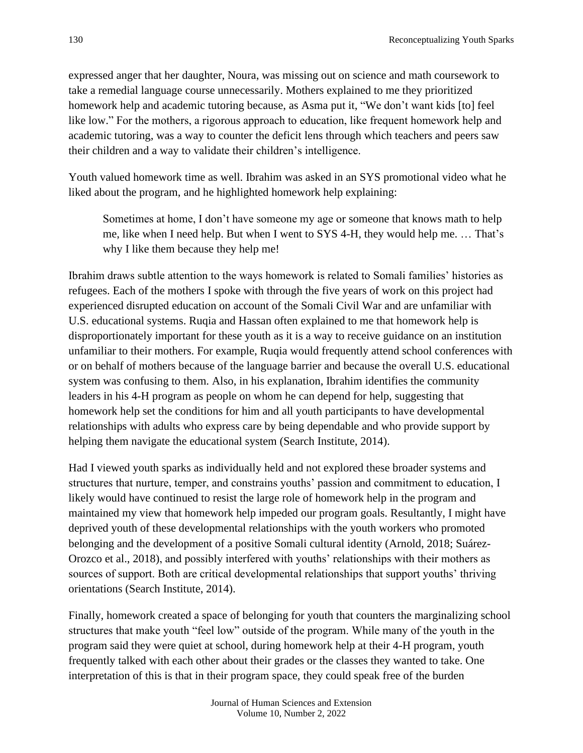expressed anger that her daughter, Noura, was missing out on science and math coursework to take a remedial language course unnecessarily. Mothers explained to me they prioritized homework help and academic tutoring because, as Asma put it, "We don't want kids [to] feel like low." For the mothers, a rigorous approach to education, like frequent homework help and academic tutoring, was a way to counter the deficit lens through which teachers and peers saw their children and a way to validate their children's intelligence.

Youth valued homework time as well. Ibrahim was asked in an SYS promotional video what he liked about the program, and he highlighted homework help explaining:

Sometimes at home, I don't have someone my age or someone that knows math to help me, like when I need help. But when I went to SYS 4-H, they would help me. … That's why I like them because they help me!

Ibrahim draws subtle attention to the ways homework is related to Somali families' histories as refugees. Each of the mothers I spoke with through the five years of work on this project had experienced disrupted education on account of the Somali Civil War and are unfamiliar with U.S. educational systems. Ruqia and Hassan often explained to me that homework help is disproportionately important for these youth as it is a way to receive guidance on an institution unfamiliar to their mothers. For example, Ruqia would frequently attend school conferences with or on behalf of mothers because of the language barrier and because the overall U.S. educational system was confusing to them. Also, in his explanation, Ibrahim identifies the community leaders in his 4-H program as people on whom he can depend for help, suggesting that homework help set the conditions for him and all youth participants to have developmental relationships with adults who express care by being dependable and who provide support by helping them navigate the educational system (Search Institute, 2014).

Had I viewed youth sparks as individually held and not explored these broader systems and structures that nurture, temper, and constrains youths' passion and commitment to education, I likely would have continued to resist the large role of homework help in the program and maintained my view that homework help impeded our program goals. Resultantly, I might have deprived youth of these developmental relationships with the youth workers who promoted belonging and the development of a positive Somali cultural identity (Arnold, 2018; Suárez-Orozco et al., 2018), and possibly interfered with youths' relationships with their mothers as sources of support. Both are critical developmental relationships that support youths' thriving orientations (Search Institute, 2014).

Finally, homework created a space of belonging for youth that counters the marginalizing school structures that make youth "feel low" outside of the program. While many of the youth in the program said they were quiet at school, during homework help at their 4-H program, youth frequently talked with each other about their grades or the classes they wanted to take. One interpretation of this is that in their program space, they could speak free of the burden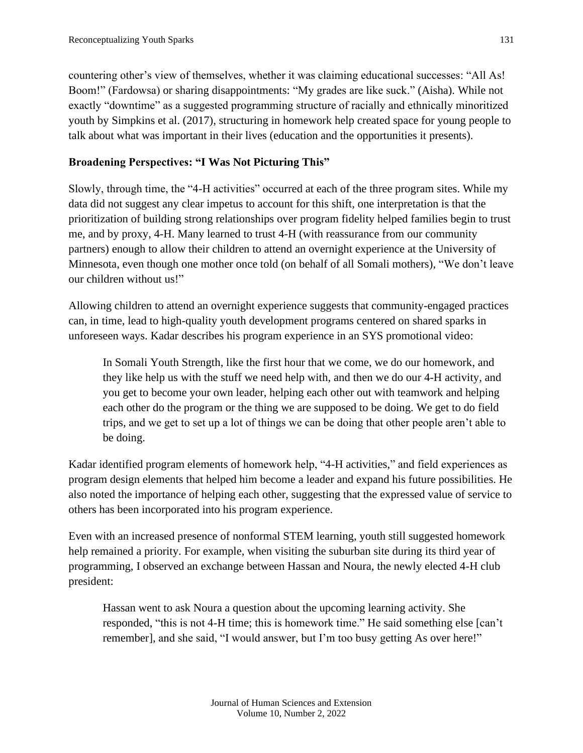countering other's view of themselves, whether it was claiming educational successes: "All As! Boom!" (Fardowsa) or sharing disappointments: "My grades are like suck." (Aisha). While not exactly "downtime" as a suggested programming structure of racially and ethnically minoritized youth by Simpkins et al. (2017), structuring in homework help created space for young people to talk about what was important in their lives (education and the opportunities it presents).

# **Broadening Perspectives: "I Was Not Picturing This"**

Slowly, through time, the "4-H activities" occurred at each of the three program sites. While my data did not suggest any clear impetus to account for this shift, one interpretation is that the prioritization of building strong relationships over program fidelity helped families begin to trust me, and by proxy, 4-H. Many learned to trust 4-H (with reassurance from our community partners) enough to allow their children to attend an overnight experience at the University of Minnesota, even though one mother once told (on behalf of all Somali mothers), "We don't leave our children without us!"

Allowing children to attend an overnight experience suggests that community-engaged practices can, in time, lead to high-quality youth development programs centered on shared sparks in unforeseen ways. Kadar describes his program experience in an SYS promotional video:

In Somali Youth Strength, like the first hour that we come, we do our homework, and they like help us with the stuff we need help with, and then we do our 4-H activity, and you get to become your own leader, helping each other out with teamwork and helping each other do the program or the thing we are supposed to be doing. We get to do field trips, and we get to set up a lot of things we can be doing that other people aren't able to be doing.

Kadar identified program elements of homework help, "4-H activities," and field experiences as program design elements that helped him become a leader and expand his future possibilities. He also noted the importance of helping each other, suggesting that the expressed value of service to others has been incorporated into his program experience.

Even with an increased presence of nonformal STEM learning, youth still suggested homework help remained a priority. For example, when visiting the suburban site during its third year of programming, I observed an exchange between Hassan and Noura, the newly elected 4-H club president:

Hassan went to ask Noura a question about the upcoming learning activity. She responded, "this is not 4-H time; this is homework time." He said something else [can't remember], and she said, "I would answer, but I'm too busy getting As over here!"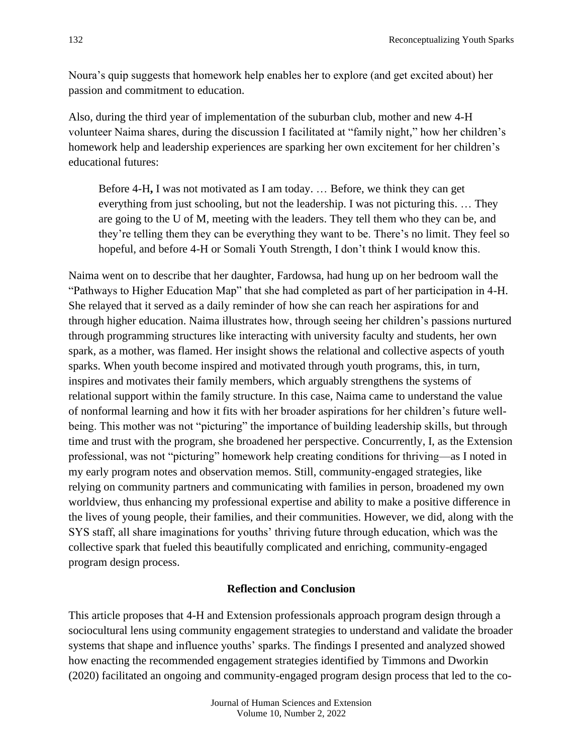Noura's quip suggests that homework help enables her to explore (and get excited about) her passion and commitment to education.

Also, during the third year of implementation of the suburban club, mother and new 4-H volunteer Naima shares, during the discussion I facilitated at "family night," how her children's homework help and leadership experiences are sparking her own excitement for her children's educational futures:

Before 4-H**,** I was not motivated as I am today. … Before, we think they can get everything from just schooling, but not the leadership. I was not picturing this. … They are going to the U of M, meeting with the leaders. They tell them who they can be, and they're telling them they can be everything they want to be. There's no limit. They feel so hopeful, and before 4-H or Somali Youth Strength, I don't think I would know this.

Naima went on to describe that her daughter, Fardowsa, had hung up on her bedroom wall the "Pathways to Higher Education Map" that she had completed as part of her participation in 4-H. She relayed that it served as a daily reminder of how she can reach her aspirations for and through higher education. Naima illustrates how, through seeing her children's passions nurtured through programming structures like interacting with university faculty and students, her own spark, as a mother, was flamed. Her insight shows the relational and collective aspects of youth sparks. When youth become inspired and motivated through youth programs, this, in turn, inspires and motivates their family members, which arguably strengthens the systems of relational support within the family structure. In this case, Naima came to understand the value of nonformal learning and how it fits with her broader aspirations for her children's future wellbeing. This mother was not "picturing" the importance of building leadership skills, but through time and trust with the program, she broadened her perspective. Concurrently, I, as the Extension professional, was not "picturing" homework help creating conditions for thriving—as I noted in my early program notes and observation memos. Still, community-engaged strategies, like relying on community partners and communicating with families in person, broadened my own worldview, thus enhancing my professional expertise and ability to make a positive difference in the lives of young people, their families, and their communities. However, we did, along with the SYS staff, all share imaginations for youths' thriving future through education, which was the collective spark that fueled this beautifully complicated and enriching, community-engaged program design process.

# **Reflection and Conclusion**

This article proposes that 4-H and Extension professionals approach program design through a sociocultural lens using community engagement strategies to understand and validate the broader systems that shape and influence youths' sparks. The findings I presented and analyzed showed how enacting the recommended engagement strategies identified by Timmons and Dworkin (2020) facilitated an ongoing and community-engaged program design process that led to the co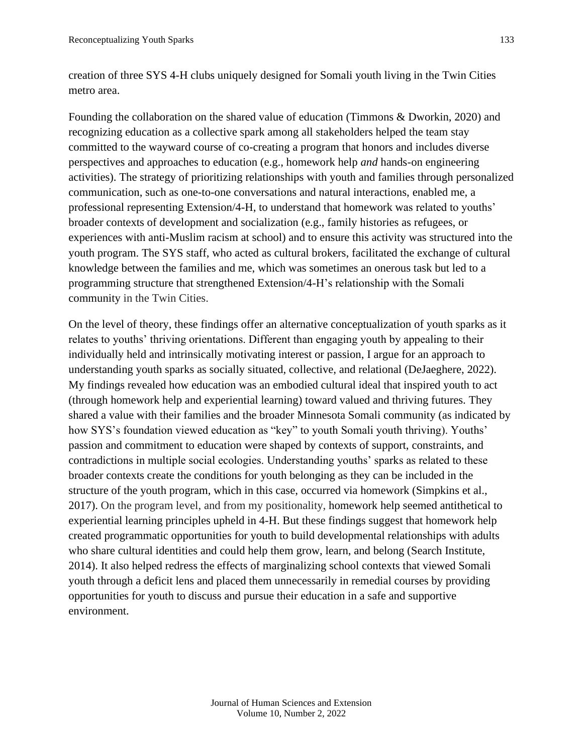creation of three SYS 4-H clubs uniquely designed for Somali youth living in the Twin Cities metro area.

Founding the collaboration on the shared value of education (Timmons & Dworkin, 2020) and recognizing education as a collective spark among all stakeholders helped the team stay committed to the wayward course of co-creating a program that honors and includes diverse perspectives and approaches to education (e.g., homework help *and* hands-on engineering activities). The strategy of prioritizing relationships with youth and families through personalized communication, such as one-to-one conversations and natural interactions, enabled me, a professional representing Extension/4-H, to understand that homework was related to youths' broader contexts of development and socialization (e.g., family histories as refugees, or experiences with anti-Muslim racism at school) and to ensure this activity was structured into the youth program. The SYS staff, who acted as cultural brokers, facilitated the exchange of cultural knowledge between the families and me, which was sometimes an onerous task but led to a programming structure that strengthened Extension/4-H's relationship with the Somali community in the Twin Cities.

On the level of theory, these findings offer an alternative conceptualization of youth sparks as it relates to youths' thriving orientations. Different than engaging youth by appealing to their individually held and intrinsically motivating interest or passion, I argue for an approach to understanding youth sparks as socially situated, collective, and relational (DeJaeghere, 2022). My findings revealed how education was an embodied cultural ideal that inspired youth to act (through homework help and experiential learning) toward valued and thriving futures. They shared a value with their families and the broader Minnesota Somali community (as indicated by how SYS's foundation viewed education as "key" to youth Somali youth thriving). Youths' passion and commitment to education were shaped by contexts of support, constraints, and contradictions in multiple social ecologies. Understanding youths' sparks as related to these broader contexts create the conditions for youth belonging as they can be included in the structure of the youth program, which in this case, occurred via homework (Simpkins et al., 2017). On the program level, and from my positionality, homework help seemed antithetical to experiential learning principles upheld in 4-H. But these findings suggest that homework help created programmatic opportunities for youth to build developmental relationships with adults who share cultural identities and could help them grow, learn, and belong (Search Institute, 2014). It also helped redress the effects of marginalizing school contexts that viewed Somali youth through a deficit lens and placed them unnecessarily in remedial courses by providing opportunities for youth to discuss and pursue their education in a safe and supportive environment.

> Journal of Human Sciences and Extension Volume 10, Number 2, 2022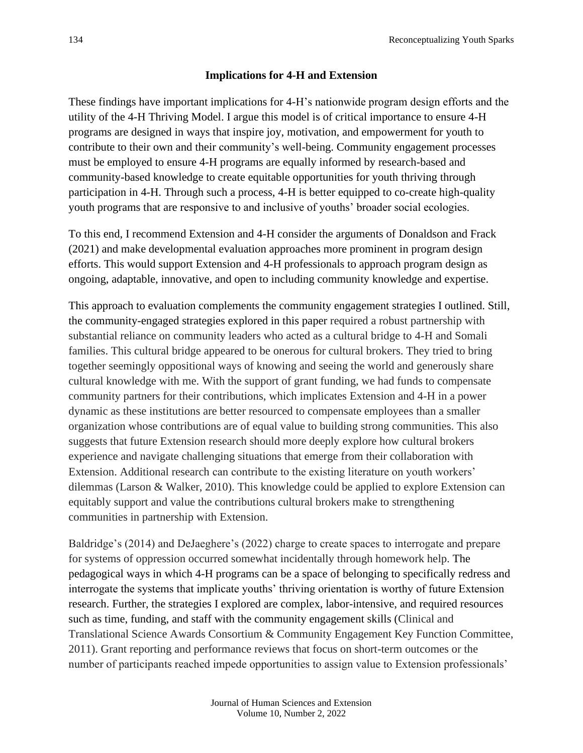#### **Implications for 4-H and Extension**

These findings have important implications for 4-H's nationwide program design efforts and the utility of the 4-H Thriving Model. I argue this model is of critical importance to ensure 4-H programs are designed in ways that inspire joy, motivation, and empowerment for youth to contribute to their own and their community's well-being. Community engagement processes must be employed to ensure 4-H programs are equally informed by research-based and community-based knowledge to create equitable opportunities for youth thriving through participation in 4-H. Through such a process, 4-H is better equipped to co-create high-quality youth programs that are responsive to and inclusive of youths' broader social ecologies.

To this end, I recommend Extension and 4-H consider the arguments of Donaldson and Frack (2021) and make developmental evaluation approaches more prominent in program design efforts. This would support Extension and 4-H professionals to approach program design as ongoing, adaptable, innovative, and open to including community knowledge and expertise.

This approach to evaluation complements the community engagement strategies I outlined. Still, the community-engaged strategies explored in this paper required a robust partnership with substantial reliance on community leaders who acted as a cultural bridge to 4-H and Somali families. This cultural bridge appeared to be onerous for cultural brokers. They tried to bring together seemingly oppositional ways of knowing and seeing the world and generously share cultural knowledge with me. With the support of grant funding, we had funds to compensate community partners for their contributions, which implicates Extension and 4-H in a power dynamic as these institutions are better resourced to compensate employees than a smaller organization whose contributions are of equal value to building strong communities. This also suggests that future Extension research should more deeply explore how cultural brokers experience and navigate challenging situations that emerge from their collaboration with Extension. Additional research can contribute to the existing literature on youth workers' dilemmas (Larson & Walker, 2010). This knowledge could be applied to explore Extension can equitably support and value the contributions cultural brokers make to strengthening communities in partnership with Extension.

Baldridge's (2014) and DeJaeghere's (2022) charge to create spaces to interrogate and prepare for systems of oppression occurred somewhat incidentally through homework help. The pedagogical ways in which 4-H programs can be a space of belonging to specifically redress and interrogate the systems that implicate youths' thriving orientation is worthy of future Extension research. Further, the strategies I explored are complex, labor-intensive, and required resources such as time, funding, and staff with the community engagement skills (Clinical and Translational Science Awards Consortium & Community Engagement Key Function Committee, 2011). Grant reporting and performance reviews that focus on short-term outcomes or the number of participants reached impede opportunities to assign value to Extension professionals'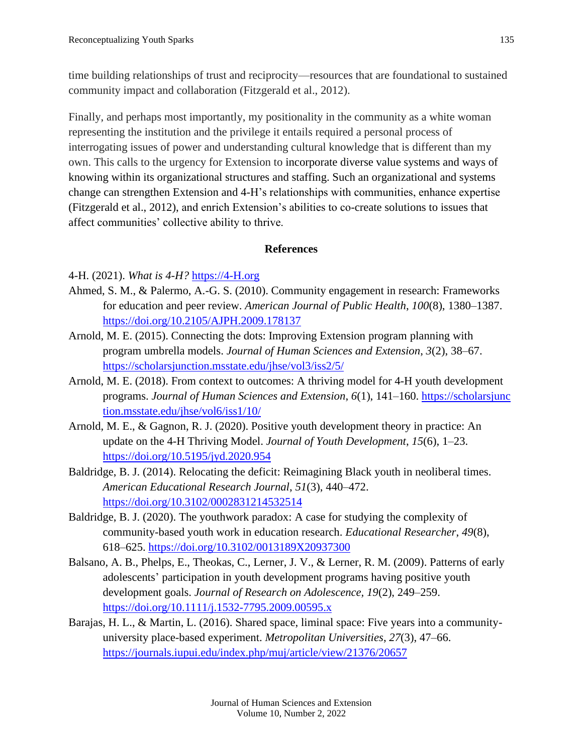time building relationships of trust and reciprocity—resources that are foundational to sustained community impact and collaboration (Fitzgerald et al., 2012).

Finally, and perhaps most importantly, my positionality in the community as a white woman representing the institution and the privilege it entails required a personal process of interrogating issues of power and understanding cultural knowledge that is different than my own. This calls to the urgency for Extension to incorporate diverse value systems and ways of knowing within its organizational structures and staffing. Such an organizational and systems change can strengthen Extension and 4-H's relationships with communities, enhance expertise (Fitzgerald et al., 2012), and enrich Extension's abilities to co-create solutions to issues that affect communities' collective ability to thrive.

# **References**

# 4-H. (2021). *What is 4-H?* [https://4-H.org](https://4-h.org/)

- Ahmed, S. M., & Palermo, A.-G. S. (2010). Community engagement in research: Frameworks for education and peer review. *American Journal of Public Health*, *100*(8), 1380–1387. <https://doi.org/10.2105/AJPH.2009.178137>
- Arnold, M. E. (2015). Connecting the dots: Improving Extension program planning with program umbrella models. *Journal of Human Sciences and Extension*, *3*(2), 38–67. <https://scholarsjunction.msstate.edu/jhse/vol3/iss2/5/>
- Arnold, M. E. (2018). From context to outcomes: A thriving model for 4-H youth development programs. *Journal of Human Sciences and Extension*, *6*(1), 141–160. [https://scholarsjunc](https://scholarsjunction.msstate.edu/jhse/vol6/iss1/10/) [tion.msstate.edu/jhse/vol6/iss1/10/](https://scholarsjunction.msstate.edu/jhse/vol6/iss1/10/)
- Arnold, M. E., & Gagnon, R. J. (2020). Positive youth development theory in practice: An update on the 4-H Thriving Model. *Journal of Youth Development*, *15*(6), 1–23. <https://doi.org/10.5195/jyd.2020.954>
- Baldridge, B. J. (2014). Relocating the deficit: Reimagining Black youth in neoliberal times. *American Educational Research Journal*, *51*(3), 440–472. <https://doi.org/10.3102/0002831214532514>
- Baldridge, B. J. (2020). The youthwork paradox: A case for studying the complexity of community-based youth work in education research. *Educational Researcher*, *49*(8), 618–625. <https://doi.org/10.3102/0013189X20937300>
- Balsano, A. B., Phelps, E., Theokas, C., Lerner, J. V., & Lerner, R. M. (2009). Patterns of early adolescents' participation in youth development programs having positive youth development goals. *Journal of Research on Adolescence, 19*(2), 249–259. <https://doi.org/10.1111/j.1532-7795.2009.00595.x>
- Barajas, H. L., & Martin, L. (2016). Shared space, liminal space: Five years into a communityuniversity place-based experiment. *Metropolitan Universities*, *27*(3), 47–66. <https://journals.iupui.edu/index.php/muj/article/view/21376/20657>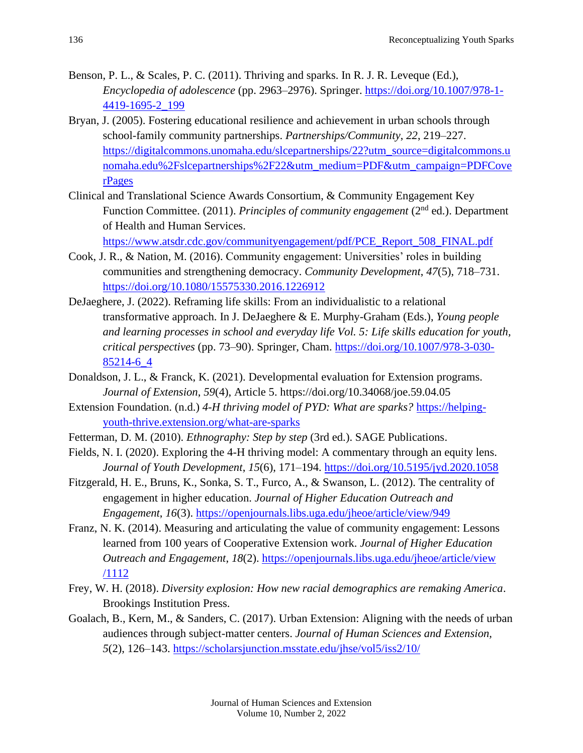- Benson, P. L., & Scales, P. C. (2011). Thriving and sparks. In R. J. R. Leveque (Ed.), *Encyclopedia of adolescence* (pp. 2963–2976). Springer. [https://doi.org/10.1007/978-1-](https://doi.org/10.1007/978-1-4419-1695-2_199) [4419-1695-2\\_199](https://doi.org/10.1007/978-1-4419-1695-2_199)
- Bryan, J. (2005). Fostering educational resilience and achievement in urban schools through school-family community partnerships. *Partnerships/Community*, *22*, 219–227. [https://digitalcommons.unomaha.edu/slcepartnerships/22?utm\\_source=digitalcommons.u](https://digitalcommons.unomaha.edu/slcepartnerships/22?utm_source=digitalcommons.unomaha.edu%2Fslcepartnerships%2F22&utm_medium=PDF&utm_campaign=PDFCoverPages) [nomaha.edu%2Fslcepartnerships%2F22&utm\\_medium=PDF&utm\\_campaign=PDFCove](https://digitalcommons.unomaha.edu/slcepartnerships/22?utm_source=digitalcommons.unomaha.edu%2Fslcepartnerships%2F22&utm_medium=PDF&utm_campaign=PDFCoverPages) [rPages](https://digitalcommons.unomaha.edu/slcepartnerships/22?utm_source=digitalcommons.unomaha.edu%2Fslcepartnerships%2F22&utm_medium=PDF&utm_campaign=PDFCoverPages)
- Clinical and Translational Science Awards Consortium, & Community Engagement Key Function Committee. (2011). *Principles of community engagement* (2nd ed.). Department of Health and Human Services.

[https://www.atsdr.cdc.gov/communityengagement/pdf/PCE\\_Report\\_508\\_FINAL.pdf](https://www.atsdr.cdc.gov/communityengagement/pdf/PCE_Report_508_FINAL.pdf)

- Cook, J. R., & Nation, M. (2016). Community engagement: Universities' roles in building communities and strengthening democracy. *Community Development*, *47*(5), 718–731. <https://doi.org/10.1080/15575330.2016.1226912>
- DeJaeghere, J. (2022). Reframing life skills: From an individualistic to a relational transformative approach. In J. DeJaeghere & E. Murphy-Graham (Eds.), *Young people and learning processes in school and everyday life Vol. 5: Life skills education for youth, critical perspectives* (pp. 73–90). Springer, Cham. [https://doi.org/10.1007/978-3-030-](https://doi.org/10.1007/978-3-030-85214-6_4) [85214-6\\_4](https://doi.org/10.1007/978-3-030-85214-6_4)
- Donaldson, J. L., & Franck, K. (2021). Developmental evaluation for Extension programs. *Journal of Extension*, *59*(4), Article 5. https://doi.org/10.34068/joe.59.04.05
- Extension Foundation. (n.d.) *4-H thriving model of PYD: What are sparks?* [https://helping](https://helping-youth-thrive.extension.org/what-are-sparks)[youth-thrive.extension.org/what-are-sparks](https://helping-youth-thrive.extension.org/what-are-sparks)
- Fetterman, D. M. (2010). *Ethnography: Step by step* (3rd ed.). SAGE Publications.
- Fields, N. I. (2020). Exploring the 4-H thriving model: A commentary through an equity lens. *Journal of Youth Development*, *15*(6), 171–194.<https://doi.org/10.5195/jyd.2020.1058>
- Fitzgerald, H. E., Bruns, K., Sonka, S. T., Furco, A., & Swanson, L. (2012). The centrality of engagement in higher education. *Journal of Higher Education Outreach and Engagement*, *16*(3). <https://openjournals.libs.uga.edu/jheoe/article/view/949>
- Franz, N. K. (2014). Measuring and articulating the value of community engagement: Lessons learned from 100 years of Cooperative Extension work. *Journal of Higher Education Outreach and Engagement*, *18*(2). [https://openjournals.libs.uga.edu/jheoe/article/view](https://openjournals.libs.uga.edu/jheoe/article/view‌/1112) [/1112](https://openjournals.libs.uga.edu/jheoe/article/view‌/1112)
- Frey, W. H. (2018). *Diversity explosion: How new racial demographics are remaking America*. Brookings Institution Press.
- Goalach, B., Kern, M., & Sanders, C. (2017). Urban Extension: Aligning with the needs of urban audiences through subject-matter centers. *Journal of Human Sciences and Extension, 5*(2), 126–143.<https://scholarsjunction.msstate.edu/jhse/vol5/iss2/10/>

Volume 10, Number 2, 2022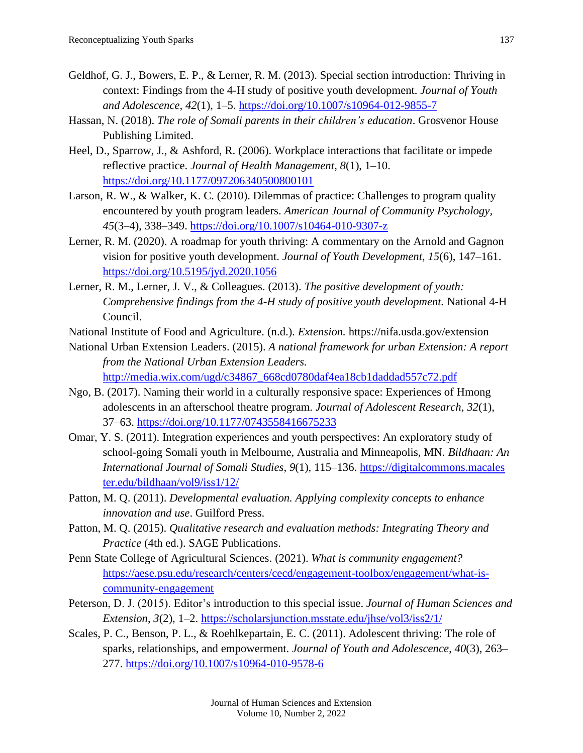- Geldhof, G. J., Bowers, E. P., & Lerner, R. M. (2013). Special section introduction: Thriving in context: Findings from the 4-H study of positive youth development. *Journal of Youth and Adolescence, 42*(1), 1–5.<https://doi.org/10.1007/s10964-012-9855-7>
- Hassan, N. (2018). *The role of Somali parents in their children's education*. Grosvenor House Publishing Limited.
- Heel, D., Sparrow, J., & Ashford, R. (2006). Workplace interactions that facilitate or impede reflective practice. *Journal of Health Management*, *8*(1), 1–10. <https://doi.org/10.1177/097206340500800101>
- Larson, R. W., & Walker, K. C. (2010). Dilemmas of practice: Challenges to program quality encountered by youth program leaders. *American Journal of Community Psychology, 45*(3–4), 338–349.<https://doi.org/10.1007/s10464-010-9307-z>
- Lerner, R. M. (2020). A roadmap for youth thriving: A commentary on the Arnold and Gagnon vision for positive youth development. *Journal of Youth Development*, *15*(6), 147–161. <https://doi.org/10.5195/jyd.2020.1056>
- Lerner, R. M., Lerner, J. V., & Colleagues. (2013). *The positive development of youth: Comprehensive findings from the 4-H study of positive youth development.* National 4-H Council.
- National Institute of Food and Agriculture. (n.d.). *Extension.* https://nifa.usda.gov/extension
- National Urban Extension Leaders. (2015). *A national framework for urban Extension: A report from the National Urban Extension Leaders.* [http://media.wix.com/ugd/c34867\\_668cd0780daf4ea18cb1daddad557c72.pdf](http://media.wix.com/ugd/c34867_668cd0780daf4ea18cb1daddad557c72.pdf)
- Ngo, B. (2017). Naming their world in a culturally responsive space: Experiences of Hmong adolescents in an afterschool theatre program. *Journal of Adolescent Research*, *32*(1), 37–63.<https://doi.org/10.1177/0743558416675233>
- Omar, Y. S. (2011). Integration experiences and youth perspectives: An exploratory study of school-going Somali youth in Melbourne, Australia and Minneapolis, MN. *Bildhaan: An International Journal of Somali Studies*, *9*(1), 115–136. [https://digitalcommons.macales](https://digitalcommons.macalester.edu/bildhaan/vol9/iss1/12/) [ter.edu/bildhaan/vol9/iss1/12/](https://digitalcommons.macalester.edu/bildhaan/vol9/iss1/12/)
- Patton, M. Q. (2011). *Developmental evaluation. Applying complexity concepts to enhance innovation and use*. Guilford Press.
- Patton, M. Q. (2015). *Qualitative research and evaluation methods: Integrating Theory and Practice* (4th ed.). SAGE Publications.
- Penn State College of Agricultural Sciences. (2021). *What is community engagement?* [https://aese.psu.edu/research/centers/cecd/engagement-toolbox/engagement/what-is](https://aese.psu.edu/research/centers/cecd/engagement-toolbox/engagement/what-is-community-engagement)[community-engagement](https://aese.psu.edu/research/centers/cecd/engagement-toolbox/engagement/what-is-community-engagement)
- Peterson, D. J. (2015). Editor's introduction to this special issue. *Journal of Human Sciences and Extension*, *3*(2), 1–2.<https://scholarsjunction.msstate.edu/jhse/vol3/iss2/1/>
- Scales, P. C., Benson, P. L., & Roehlkepartain, E. C. (2011). Adolescent thriving: The role of sparks, relationships, and empowerment. *Journal of Youth and Adolescence*, *40*(3), 263– 277.<https://doi.org/10.1007/s10964-010-9578-6>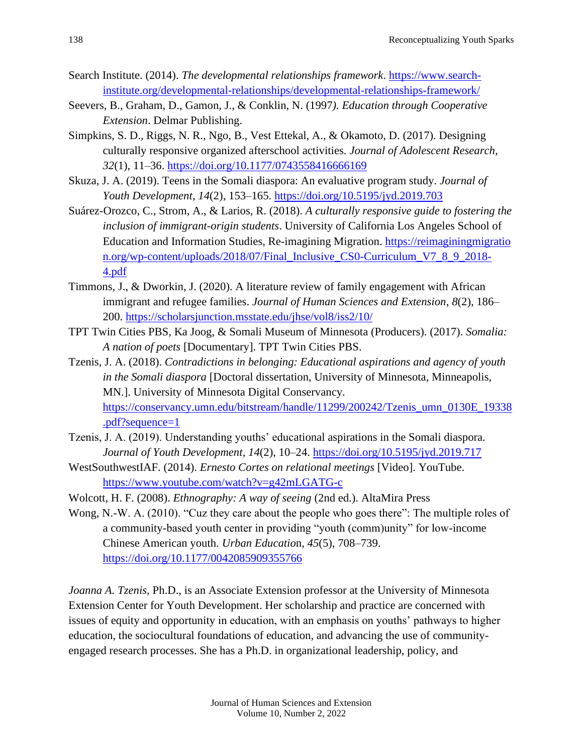- Search Institute. (2014). *The developmental relationships framework*. [https://www.search](https://www.search-institute.org/developmental-relationships/developmental-relationships-framework/)[institute.org/developmental-relationships/developmental-relationships-framework/](https://www.search-institute.org/developmental-relationships/developmental-relationships-framework/)
- Seevers, B., Graham, D., Gamon, J., & Conklin, N. (1997*). Education through Cooperative Extension*. Delmar Publishing.
- Simpkins, S. D., Riggs, N. R., Ngo, B., Vest Ettekal, A., & Okamoto, D. (2017). Designing culturally responsive organized afterschool activities. *Journal of Adolescent Research*, *32*(1), 11–36.<https://doi.org/10.1177/0743558416666169>
- Skuza, J. A. (2019). Teens in the Somali diaspora: An evaluative program study. *Journal of Youth Development*, *14*(2), 153–165.<https://doi.org/10.5195/jyd.2019.703>
- Suárez-Orozco, C., Strom, A., & Larios, R. (2018). *A culturally responsive guide to fostering the inclusion of immigrant-origin students*. University of California Los Angeles School of Education and Information Studies, Re-imagining Migration. [https://reimaginingmigratio](https://reimaginingmigration.org/wp-content/uploads/2018/07/Final_Inclusive_CS0-Curriculum_V7_8_9_2018-4.pdf) [n.org/wp-content/uploads/2018/07/Final\\_Inclusive\\_CS0-Curriculum\\_V7\\_8\\_9\\_2018-](https://reimaginingmigration.org/wp-content/uploads/2018/07/Final_Inclusive_CS0-Curriculum_V7_8_9_2018-4.pdf) [4.pdf](https://reimaginingmigration.org/wp-content/uploads/2018/07/Final_Inclusive_CS0-Curriculum_V7_8_9_2018-4.pdf)
- Timmons, J., & Dworkin, J. (2020). A literature review of family engagement with African immigrant and refugee families. *Journal of Human Sciences and Extension*, *8*(2), 186– 200. <https://scholarsjunction.msstate.edu/jhse/vol8/iss2/10/>
- TPT Twin Cities PBS, Ka Joog, & Somali Museum of Minnesota (Producers). (2017). *Somalia: A nation of poets* [Documentary]. TPT Twin Cities PBS.
- Tzenis, J. A. (2018). *Contradictions in belonging: Educational aspirations and agency of youth in the Somali diaspora* [Doctoral dissertation, University of Minnesota, Minneapolis, MN.]. University of Minnesota Digital Conservancy. [https://conservancy.umn.edu/bitstream/handle/11299/200242/Tzenis\\_umn\\_0130E\\_19338](https://conservancy.umn.edu/bitstream/handle/11299/200242/Tzenis_umn_0130E_19338.pdf?sequence=1) [.pdf?sequence=1](https://conservancy.umn.edu/bitstream/handle/11299/200242/Tzenis_umn_0130E_19338.pdf?sequence=1)
- Tzenis, J. A. (2019). Understanding youths' educational aspirations in the Somali diaspora. *Journal of Youth Development*, *14*(2), 10–24.<https://doi.org/10.5195/jyd.2019.717>
- WestSouthwestIAF. (2014). *Ernesto Cortes on relational meetings* [Video]. YouTube. <https://www.youtube.com/watch?v=g42mLGATG-c>
- Wolcott, H. F. (2008). *Ethnography: A way of seeing* (2nd ed.). AltaMira Press
- Wong, N.-W. A. (2010). "Cuz they care about the people who goes there": The multiple roles of a community-based youth center in providing "youth (comm)unity" for low-income Chinese American youth. *Urban Educatio*n, *45*(5), 708–739. <https://doi.org/10.1177/0042085909355766>

*Joanna A. Tzenis,* Ph.D., is an Associate Extension professor at the University of Minnesota Extension Center for Youth Development. Her scholarship and practice are concerned with issues of equity and opportunity in education, with an emphasis on youths' pathways to higher education, the sociocultural foundations of education, and advancing the use of communityengaged research processes. She has a Ph.D. in organizational leadership, policy, and